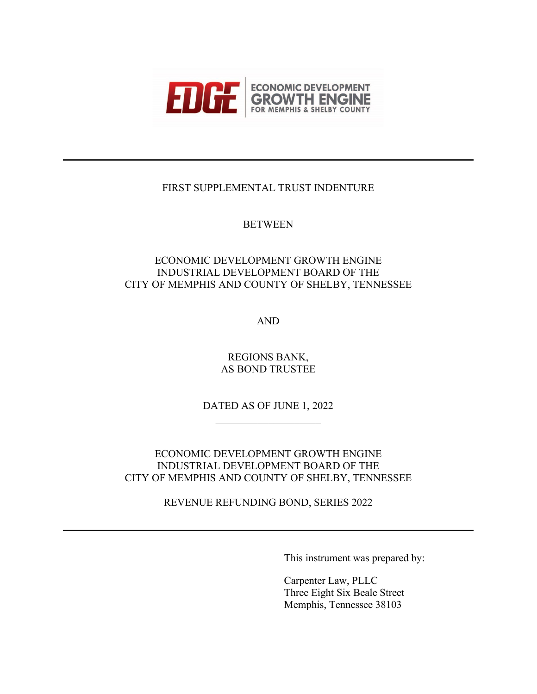

# FIRST SUPPLEMENTAL TRUST INDENTURE

# **BETWEEN**

# ECONOMIC DEVELOPMENT GROWTH ENGINE INDUSTRIAL DEVELOPMENT BOARD OF THE CITY OF MEMPHIS AND COUNTY OF SHELBY, TENNESSEE

AND

REGIONS BANK, AS BOND TRUSTEE

DATED AS OF JUNE 1, 2022

ECONOMIC DEVELOPMENT GROWTH ENGINE INDUSTRIAL DEVELOPMENT BOARD OF THE CITY OF MEMPHIS AND COUNTY OF SHELBY, TENNESSEE

REVENUE REFUNDING BOND, SERIES 2022

This instrument was prepared by:

Carpenter Law, PLLC Three Eight Six Beale Street Memphis, Tennessee 38103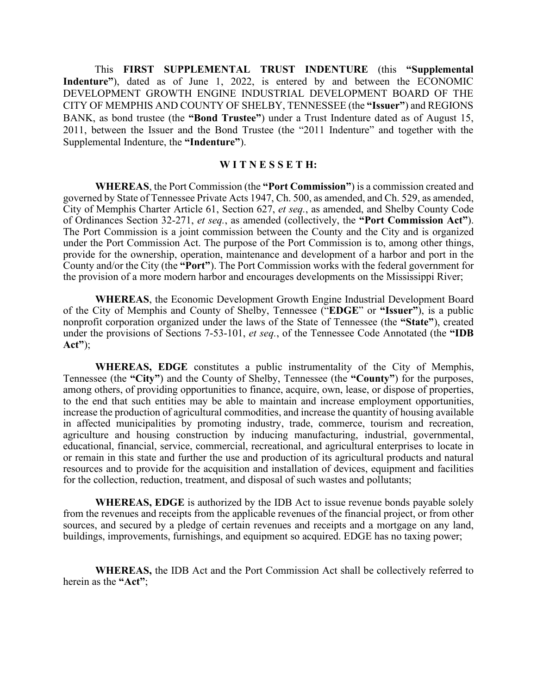This **FIRST SUPPLEMENTAL TRUST INDENTURE** (this **"Supplemental Indenture"**), dated as of June 1, 2022, is entered by and between the ECONOMIC DEVELOPMENT GROWTH ENGINE INDUSTRIAL DEVELOPMENT BOARD OF THE CITY OF MEMPHIS AND COUNTY OF SHELBY, TENNESSEE (the **"Issuer"**) and REGIONS BANK, as bond trustee (the **"Bond Trustee"**) under a Trust Indenture dated as of August 15, 2011, between the Issuer and the Bond Trustee (the "2011 Indenture" and together with the Supplemental Indenture, the **"Indenture"**).

#### **W I T N E S S E T H:**

**WHEREAS**, the Port Commission (the **"Port Commission"**) is a commission created and governed by State of Tennessee Private Acts 1947, Ch. 500, as amended, and Ch. 529, as amended, City of Memphis Charter Article 61, Section 627, *et seq.*, as amended, and Shelby County Code of Ordinances Section 32-271, *et seq.*, as amended (collectively, the **"Port Commission Act"**). The Port Commission is a joint commission between the County and the City and is organized under the Port Commission Act. The purpose of the Port Commission is to, among other things, provide for the ownership, operation, maintenance and development of a harbor and port in the County and/or the City (the **"Port"**). The Port Commission works with the federal government for the provision of a more modern harbor and encourages developments on the Mississippi River;

**WHEREAS**, the Economic Development Growth Engine Industrial Development Board of the City of Memphis and County of Shelby, Tennessee ("**EDGE**" or **"Issuer"**), is a public nonprofit corporation organized under the laws of the State of Tennessee (the **"State"**), created under the provisions of Sections 7-53-101, *et seq.*, of the Tennessee Code Annotated (the **"IDB Act"**);

**WHEREAS, EDGE** constitutes a public instrumentality of the City of Memphis, Tennessee (the **"City"**) and the County of Shelby, Tennessee (the **"County"**) for the purposes, among others, of providing opportunities to finance, acquire, own, lease, or dispose of properties, to the end that such entities may be able to maintain and increase employment opportunities, increase the production of agricultural commodities, and increase the quantity of housing available in affected municipalities by promoting industry, trade, commerce, tourism and recreation, agriculture and housing construction by inducing manufacturing, industrial, governmental, educational, financial, service, commercial, recreational, and agricultural enterprises to locate in or remain in this state and further the use and production of its agricultural products and natural resources and to provide for the acquisition and installation of devices, equipment and facilities for the collection, reduction, treatment, and disposal of such wastes and pollutants;

**WHEREAS, EDGE** is authorized by the IDB Act to issue revenue bonds payable solely from the revenues and receipts from the applicable revenues of the financial project, or from other sources, and secured by a pledge of certain revenues and receipts and a mortgage on any land, buildings, improvements, furnishings, and equipment so acquired. EDGE has no taxing power;

**WHEREAS,** the IDB Act and the Port Commission Act shall be collectively referred to herein as the **"Act"**;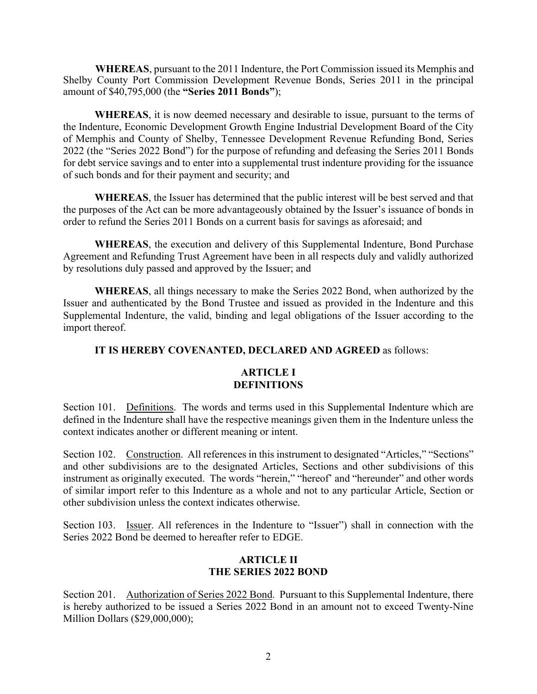**WHEREAS**, pursuant to the 2011 Indenture, the Port Commission issued its Memphis and Shelby County Port Commission Development Revenue Bonds, Series 2011 in the principal amount of \$40,795,000 (the **"Series 2011 Bonds"**);

**WHEREAS**, it is now deemed necessary and desirable to issue, pursuant to the terms of the Indenture, Economic Development Growth Engine Industrial Development Board of the City of Memphis and County of Shelby, Tennessee Development Revenue Refunding Bond, Series 2022 (the "Series 2022 Bond") for the purpose of refunding and defeasing the Series 2011 Bonds for debt service savings and to enter into a supplemental trust indenture providing for the issuance of such bonds and for their payment and security; and

**WHEREAS**, the Issuer has determined that the public interest will be best served and that the purposes of the Act can be more advantageously obtained by the Issuer's issuance of bonds in order to refund the Series 2011 Bonds on a current basis for savings as aforesaid; and

**WHEREAS**, the execution and delivery of this Supplemental Indenture, Bond Purchase Agreement and Refunding Trust Agreement have been in all respects duly and validly authorized by resolutions duly passed and approved by the Issuer; and

**WHEREAS**, all things necessary to make the Series 2022 Bond, when authorized by the Issuer and authenticated by the Bond Trustee and issued as provided in the Indenture and this Supplemental Indenture, the valid, binding and legal obligations of the Issuer according to the import thereof.

## **IT IS HEREBY COVENANTED, DECLARED AND AGREED** as follows:

### **ARTICLE I DEFINITIONS**

Section 101. Definitions. The words and terms used in this Supplemental Indenture which are defined in the Indenture shall have the respective meanings given them in the Indenture unless the context indicates another or different meaning or intent.

Section 102. Construction. All references in this instrument to designated "Articles," "Sections" and other subdivisions are to the designated Articles, Sections and other subdivisions of this instrument as originally executed. The words "herein," "hereof' and "hereunder" and other words of similar import refer to this Indenture as a whole and not to any particular Article, Section or other subdivision unless the context indicates otherwise.

Section 103. Issuer. All references in the Indenture to "Issuer") shall in connection with the Series 2022 Bond be deemed to hereafter refer to EDGE.

# **ARTICLE II THE SERIES 2022 BOND**

Section 201. Authorization of Series 2022 Bond. Pursuant to this Supplemental Indenture, there is hereby authorized to be issued a Series 2022 Bond in an amount not to exceed Twenty-Nine Million Dollars (\$29,000,000);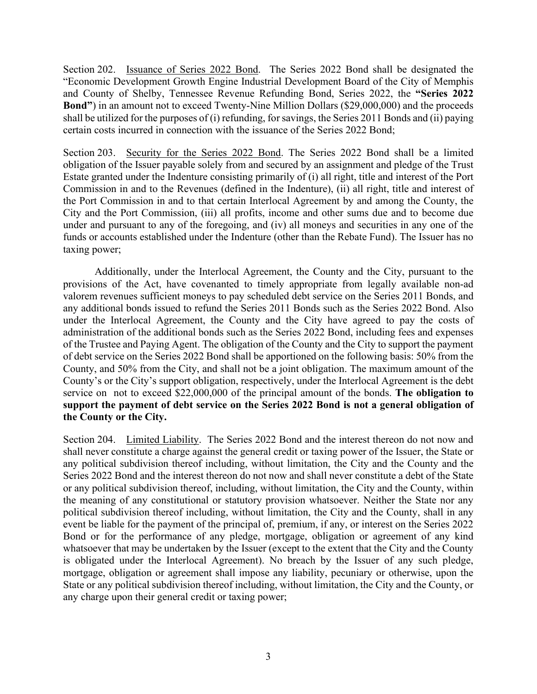Section 202. Issuance of Series 2022 Bond. The Series 2022 Bond shall be designated the "Economic Development Growth Engine Industrial Development Board of the City of Memphis and County of Shelby, Tennessee Revenue Refunding Bond, Series 2022, the **"Series 2022 Bond"**) in an amount not to exceed Twenty-Nine Million Dollars (\$29,000,000) and the proceeds shall be utilized for the purposes of (i) refunding, for savings, the Series 2011 Bonds and (ii) paying certain costs incurred in connection with the issuance of the Series 2022 Bond;

Section 203. Security for the Series 2022 Bond. The Series 2022 Bond shall be a limited obligation of the Issuer payable solely from and secured by an assignment and pledge of the Trust Estate granted under the Indenture consisting primarily of (i) all right, title and interest of the Port Commission in and to the Revenues (defined in the Indenture), (ii) all right, title and interest of the Port Commission in and to that certain Interlocal Agreement by and among the County, the City and the Port Commission, (iii) all profits, income and other sums due and to become due under and pursuant to any of the foregoing, and (iv) all moneys and securities in any one of the funds or accounts established under the Indenture (other than the Rebate Fund). The Issuer has no taxing power;

Additionally, under the Interlocal Agreement, the County and the City, pursuant to the provisions of the Act, have covenanted to timely appropriate from legally available non-ad valorem revenues sufficient moneys to pay scheduled debt service on the Series 2011 Bonds, and any additional bonds issued to refund the Series 2011 Bonds such as the Series 2022 Bond. Also under the Interlocal Agreement, the County and the City have agreed to pay the costs of administration of the additional bonds such as the Series 2022 Bond, including fees and expenses of the Trustee and Paying Agent. The obligation of the County and the City to support the payment of debt service on the Series 2022 Bond shall be apportioned on the following basis: 50% from the County, and 50% from the City, and shall not be a joint obligation. The maximum amount of the County's or the City's support obligation, respectively, under the Interlocal Agreement is the debt service on not to exceed \$22,000,000 of the principal amount of the bonds. **The obligation to support the payment of debt service on the Series 2022 Bond is not a general obligation of the County or the City.**

Section 204. Limited Liability. The Series 2022 Bond and the interest thereon do not now and shall never constitute a charge against the general credit or taxing power of the Issuer, the State or any political subdivision thereof including, without limitation, the City and the County and the Series 2022 Bond and the interest thereon do not now and shall never constitute a debt of the State or any political subdivision thereof, including, without limitation, the City and the County, within the meaning of any constitutional or statutory provision whatsoever. Neither the State nor any political subdivision thereof including, without limitation, the City and the County, shall in any event be liable for the payment of the principal of, premium, if any, or interest on the Series 2022 Bond or for the performance of any pledge, mortgage, obligation or agreement of any kind whatsoever that may be undertaken by the Issuer (except to the extent that the City and the County is obligated under the Interlocal Agreement). No breach by the Issuer of any such pledge, mortgage, obligation or agreement shall impose any liability, pecuniary or otherwise, upon the State or any political subdivision thereof including, without limitation, the City and the County, or any charge upon their general credit or taxing power;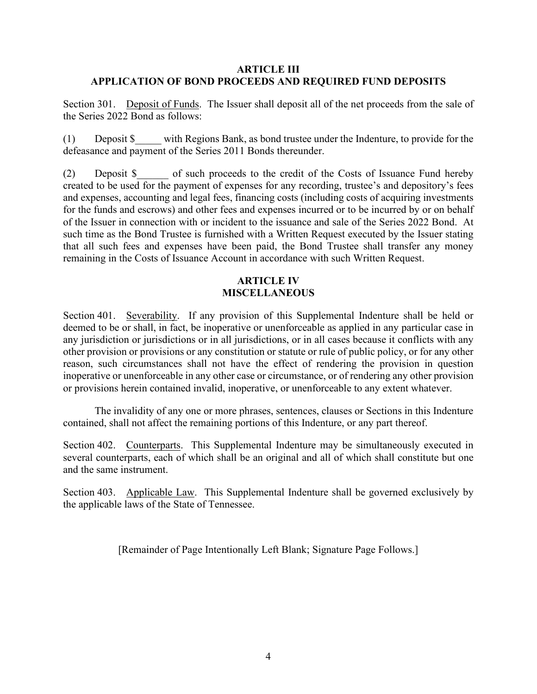#### **ARTICLE III APPLICATION OF BOND PROCEEDS AND REQUIRED FUND DEPOSITS**

Section 301. Deposit of Funds. The Issuer shall deposit all of the net proceeds from the sale of the Series 2022 Bond as follows:

(1) Deposit \$\_\_\_\_\_ with Regions Bank, as bond trustee under the Indenture, to provide for the defeasance and payment of the Series 2011 Bonds thereunder.

(2) Deposit \$ of such proceeds to the credit of the Costs of Issuance Fund hereby created to be used for the payment of expenses for any recording, trustee's and depository's fees and expenses, accounting and legal fees, financing costs (including costs of acquiring investments for the funds and escrows) and other fees and expenses incurred or to be incurred by or on behalf of the Issuer in connection with or incident to the issuance and sale of the Series 2022 Bond. At such time as the Bond Trustee is furnished with a Written Request executed by the Issuer stating that all such fees and expenses have been paid, the Bond Trustee shall transfer any money remaining in the Costs of Issuance Account in accordance with such Written Request.

### **ARTICLE IV MISCELLANEOUS**

Section 401. Severability. If any provision of this Supplemental Indenture shall be held or deemed to be or shall, in fact, be inoperative or unenforceable as applied in any particular case in any jurisdiction or jurisdictions or in all jurisdictions, or in all cases because it conflicts with any other provision or provisions or any constitution or statute or rule of public policy, or for any other reason, such circumstances shall not have the effect of rendering the provision in question inoperative or unenforceable in any other case or circumstance, or of rendering any other provision or provisions herein contained invalid, inoperative, or unenforceable to any extent whatever.

The invalidity of any one or more phrases, sentences, clauses or Sections in this Indenture contained, shall not affect the remaining portions of this Indenture, or any part thereof.

Section 402. Counterparts. This Supplemental Indenture may be simultaneously executed in several counterparts, each of which shall be an original and all of which shall constitute but one and the same instrument.

Section 403. Applicable Law. This Supplemental Indenture shall be governed exclusively by the applicable laws of the State of Tennessee.

[Remainder of Page Intentionally Left Blank; Signature Page Follows.]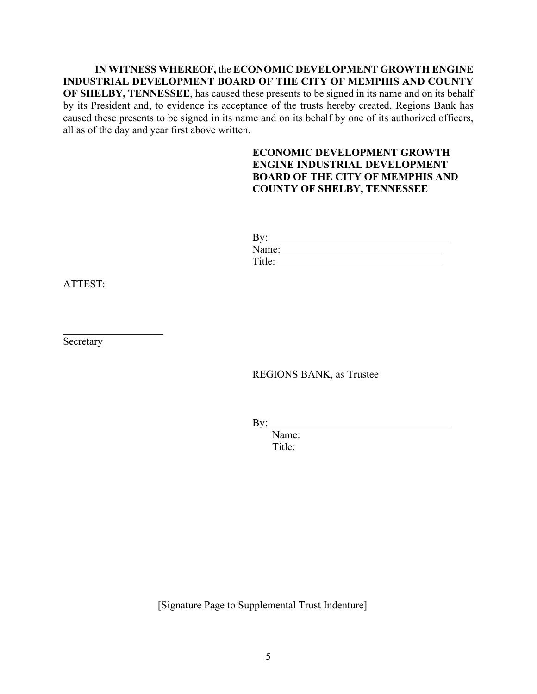**IN WITNESS WHEREOF,** the **ECONOMIC DEVELOPMENT GROWTH ENGINE INDUSTRIAL DEVELOPMENT BOARD OF THE CITY OF MEMPHIS AND COUNTY OF SHELBY, TENNESSEE**, has caused these presents to be signed in its name and on its behalf by its President and, to evidence its acceptance of the trusts hereby created, Regions Bank has caused these presents to be signed in its name and on its behalf by one of its authorized officers, all as of the day and year first above written.

### **ECONOMIC DEVELOPMENT GROWTH ENGINE INDUSTRIAL DEVELOPMENT BOARD OF THE CITY OF MEMPHIS AND COUNTY OF SHELBY, TENNESSEE**

| $\overline{By:}$ |  |  |  |
|------------------|--|--|--|
| Name:            |  |  |  |
| Title:           |  |  |  |

ATTEST:

Secretary

 $\mathcal{L}_\text{max}$  , where  $\mathcal{L}_\text{max}$ 

REGIONS BANK, as Trustee

By:

Name: Title:

[Signature Page to Supplemental Trust Indenture]